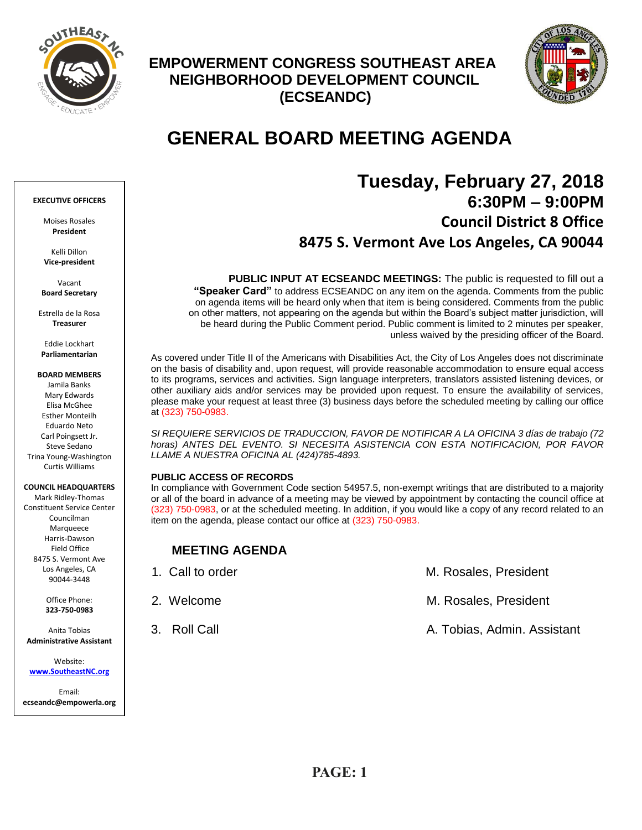

# **EMPOWERMENT CONGRESS SOUTHEAST AREA NEIGHBORHOOD DEVELOPMENT COUNCIL (ECSEANDC)**



# **GENERAL BOARD MEETING AGENDA**

# **Tuesday, February 27, 2018 6:30PM – 9:00PM Council District 8 Office 8475 S. Vermont Ave Los Angeles, CA 90044**

**PUBLIC INPUT AT ECSEANDC MEETINGS:** The public is requested to fill out a **"Speaker Card"** to address ECSEANDC on any item on the agenda. Comments from the public on agenda items will be heard only when that item is being considered. Comments from the public on other matters, not appearing on the agenda but within the Board's subject matter jurisdiction, will be heard during the Public Comment period. Public comment is limited to 2 minutes per speaker, unless waived by the presiding officer of the Board.

As covered under Title II of the Americans with Disabilities Act, the City of Los Angeles does not discriminate on the basis of disability and, upon request, will provide reasonable accommodation to ensure equal access to its programs, services and activities. Sign language interpreters, translators assisted listening devices, or other auxiliary aids and/or services may be provided upon request. To ensure the availability of services, please make your request at least three (3) business days before the scheduled meeting by calling our office at (323) 750-0983.

*SI REQUIERE SERVICIOS DE TRADUCCION, FAVOR DE NOTIFICAR A LA OFICINA 3 días de trabajo (72 horas) ANTES DEL EVENTO. SI NECESITA ASISTENCIA CON ESTA NOTIFICACION, POR FAVOR LLAME A NUESTRA OFICINA AL (424)785-4893.*

#### **PUBLIC ACCESS OF RECORDS**

In compliance with Government Code section 54957.5, non-exempt writings that are distributed to a majority or all of the board in advance of a meeting may be viewed by appointment by contacting the council office at (323) 750-0983, or at the scheduled meeting. In addition, if you would like a copy of any record related to an item on the agenda, please contact our office at (323) 750-0983.

# **MEETING AGENDA**

| 1. Call to order | M. Rosales, President       |
|------------------|-----------------------------|
| 2. Welcome       | M. Rosales, President       |
| 3. Roll Call     | A. Tobias, Admin. Assistant |

#### **EXECUTIVE OFFICERS**

Moises Rosales **President**

Kelli Dillon **Vice-president**

Vacant **Board Secretary**

Estrella de la Rosa **Treasurer**

Eddie Lockhart **Parliamentarian**

**BOARD MEMBERS**

Jamila Banks Mary Edwards Elisa McGhee Esther Monteilh Eduardo Neto Carl Poingsett Jr. Steve Sedano Trina Young-Washington Curtis Williams

#### **COUNCIL HEADQUARTERS**

Mark Ridley-Thomas Constituent Service Center Councilman Marqueece Harris-Dawson Field Office 8475 S. Vermont Ave Los Angeles, CA 90044-3448

> Office Phone: **323-750-0983**

Anita Tobias **Administrative Assistant**

Website: **[www.SoutheastNC.org](http://www.ecseandc.org/)**

Email: **ecseandc@empowerla.org**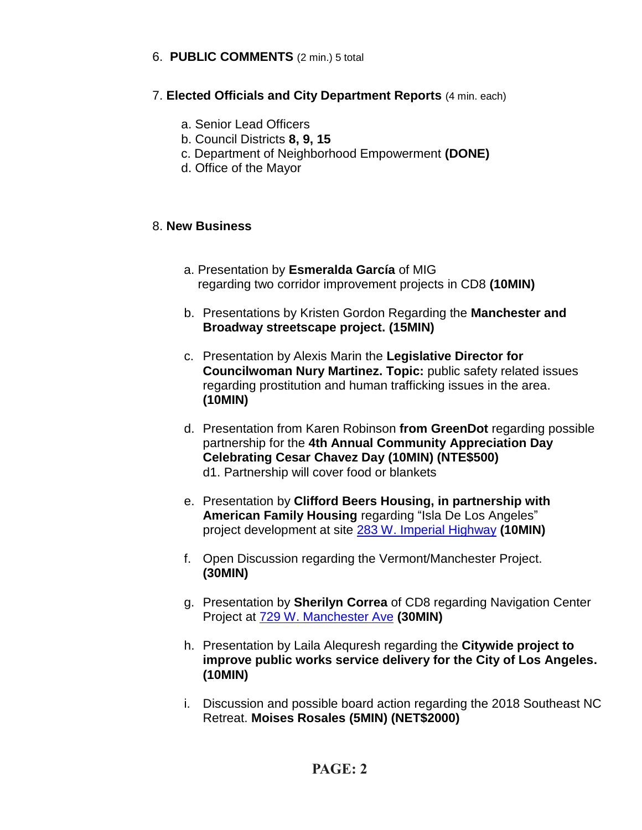# 6. **PUBLIC COMMENTS** (2 min.) 5 total

# 7. **Elected Officials and City Department Reports** (4 min. each)

- a. Senior Lead Officers
- b. Council Districts **8, 9, 15**
- c. Department of Neighborhood Empowerment **(DONE)**
- d. Office of the Mayor

# 8. **New Business**

- a. Presentation by **Esmeralda García** of MIG regarding two corridor improvement projects in CD8 **(10MIN)**
- b. Presentations by Kristen Gordon Regarding the **Manchester and Broadway streetscape project. (15MIN)**
- c. Presentation by Alexis Marin the **Legislative Director for Councilwoman Nury Martinez. Topic:** public safety related issues regarding prostitution and human trafficking issues in the area. **(10MIN)**
- d. Presentation from Karen Robinson **from GreenDot** regarding possible partnership for the **4th Annual Community Appreciation Day Celebrating Cesar Chavez Day (10MIN) (NTE\$500)** d1. Partnership will cover food or blankets
- e. Presentation by **Clifford Beers Housing, in partnership with American Family Housing** regarding "Isla De Los Angeles" project development at site [283 W. Imperial Highway](https://maps.google.com/?q=283+W.+Imperial+Highway&entry=gmail&source=g) **(10MIN)**
- f. Open Discussion regarding the Vermont/Manchester Project. **(30MIN)**
- g. Presentation by **Sherilyn Correa** of CD8 regarding Navigation Center Project at [729 W. Manchester Ave](https://maps.google.com/?q=729+W.+Manchester+Ave&entry=gmail&source=g) **(30MIN)**
- h. Presentation by Laila Alequresh regarding the **Citywide project to improve public works service delivery for the City of Los Angeles. (10MIN)**
- i. Discussion and possible board action regarding the 2018 Southeast NC Retreat. **Moises Rosales (5MIN) (NET\$2000)**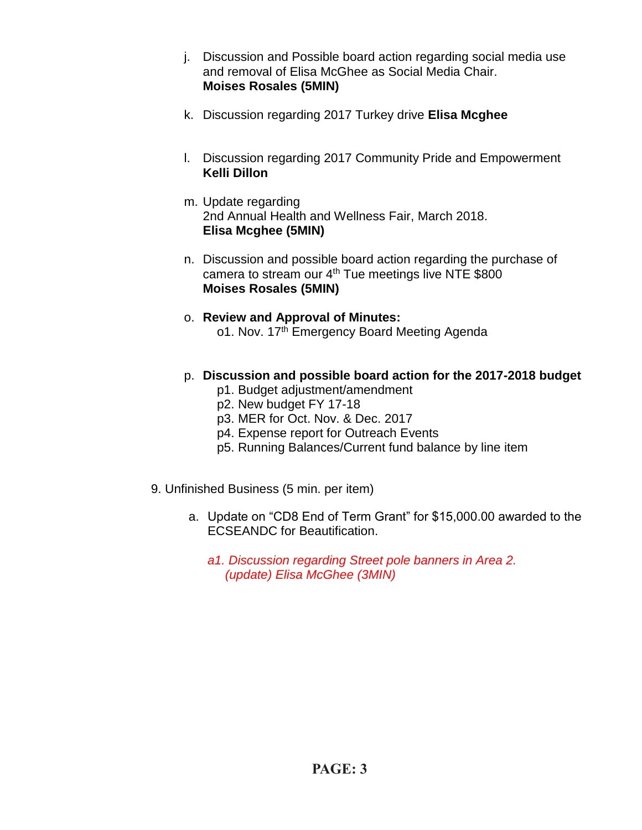- j. Discussion and Possible board action regarding social media use and removal of Elisa McGhee as Social Media Chair. **Moises Rosales (5MIN)**
- k. Discussion regarding 2017 Turkey drive **Elisa Mcghee**
- l. Discussion regarding 2017 Community Pride and Empowerment **Kelli Dillon**
- m. Update regarding 2nd Annual Health and Wellness Fair, March 2018. **Elisa Mcghee (5MIN)**
- n. Discussion and possible board action regarding the purchase of camera to stream our 4<sup>th</sup> Tue meetings live NTE \$800 **Moises Rosales (5MIN)**
- o. **Review and Approval of Minutes:** o1. Nov. 17th Emergency Board Meeting Agenda
- p. **Discussion and possible board action for the 2017-2018 budget**
	- p1. Budget adjustment/amendment
	- p2. New budget FY 17-18
	- p3. MER for Oct. Nov. & Dec. 2017
	- p4. Expense report for Outreach Events
	- p5. Running Balances/Current fund balance by line item
- 9. Unfinished Business (5 min. per item)
	- a. Update on "CD8 End of Term Grant" for \$15,000.00 awarded to the ECSEANDC for Beautification.
		- *a1. Discussion regarding Street pole banners in Area 2. (update) Elisa McGhee (3MIN)*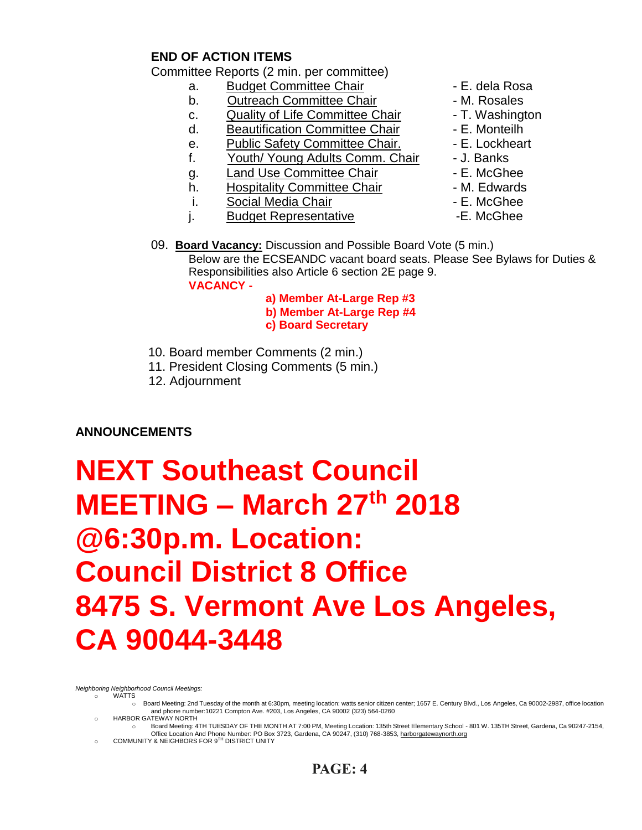# **END OF ACTION ITEMS**

Committee Reports (2 min. per committee)

- a. Budget Committee Chair  **E. dela Rosa**
- b. Outreach Committee Chair **Daniel Access** M. Rosales
- c. Quality of Life Committee Chair T. Washington
- d. Beautification Committee Chair Fame E. Monteilh
- e. Public Safety Committee Chair. E. Lockheart
- f. Youth/ Young Adults Comm. Chair J. Banks
- g. Land Use Committee Chair **E. McGhee**
- h. Hospitality Committee Chair  **M. Edwards**
- i. Social Media Chair **Chair F. McGhee**
- j. Budget Representative **-E. McGhee**
- 
- 
- 
- 
- 
- 
- 
- 
- 
- 
- 09. **Board Vacancy:** Discussion and Possible Board Vote (5 min.) Below are the ECSEANDC vacant board seats. Please See Bylaws for Duties & Responsibilities also Article 6 section 2E page 9. **VACANCY -**

 **a) Member At-Large Rep #3 b) Member At-Large Rep #4 c) Board Secretary**

- 10. Board member Comments (2 min.)
- 11. President Closing Comments (5 min.)
- 12. Adjournment

# **ANNOUNCEMENTS**

# **NEXT Southeast Council MEETING – March 27 th 2018 @6:30p.m. Location: Council District 8 Office 8475 S. Vermont Ave Los Angeles, CA 90044-3448**

*Neighboring Neighborhood Council Meetings:*

- o WATTS
	- o Board Meeting: 2nd Tuesday of the month at 6:30pm, meeting location: watts senior citizen center; 1657 E. Century Blvd., Los Angeles, Ca 90002-2987, office location and phone number:10221 Compton Ave. #203, Los Angeles, CA 90002 (323) 564-0260
	- o HARBOR GATEWAY NORTH
	- o Board Meeting: 4TH TUESDAY OF THE MONTH AT 7:00 PM, Meeting Location: 135th Street Elementary School 801 W. 135TH Street, Gardena, Ca 90247-2154, om Coffice Location And Phone Number: PO Box 3723, Gardena, CA 90247, (310) 768-3853, <u>harborgatewaynorth.org وC</u>OMMUNITY & NEIGHBORS FOR 9<sup>TH</sup> DISTRICT UNITY